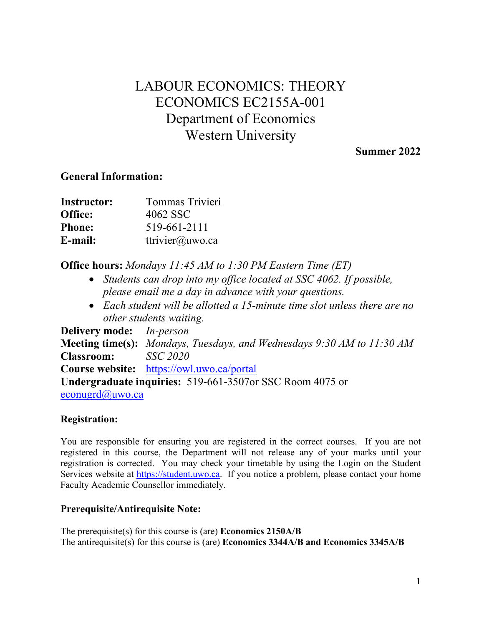# LABOUR ECONOMICS: THEORY ECONOMICS EC2155A-001 Department of Economics Western University

 **Summer 2022** 

# **General Information:**

| <b>Instructor:</b> | Tommas Trivieri |
|--------------------|-----------------|
| Office:            | 4062 SSC        |
| <b>Phone:</b>      | 519-661-2111    |
| E-mail:            | ttrivier@uwo.ca |

 **Office hours:** *Mondays 11:45 AM to 1:30 PM Eastern Time (ET)* 

- *Students can drop into my office located at SSC 4062. If possible, please email me a day in advance with your questions.*
- Each student will be allotted a 15-minute time slot unless there are no *other students waiting.*

 **Meeting time(s):** *Mondays, Tuesdays, and Wednesdays 9:30 AM to 11:30 AM*   **Classroom:** *SSC 2020*  **Course website:** <https://owl.uwo.ca/portal> **Undergraduate inquiries:** 519-661-3507or SSC Room 4075 or **Delivery mode:** *In-person*  [econugrd@uwo.ca](mailto:econugrd@uwo.ca) 

#### **Registration:**

You are responsible for ensuring you are registered in the correct courses. If you are not registered in this course, the Department will not release any of your marks until your registration is corrected. You may check your timetable by using the Login on the Student Services website at [https://student.uwo.ca.](https://student.uwo.ca/) If you notice a problem, please contact your home Faculty Academic Counsellor immediately.

# **Prerequisite/Antirequisite Note:**

 The prerequisite(s) for this course is (are) **Economics 2150A/B** The antirequisite(s) for this course is (are) **Economics 3344A/B and Economics 3345A/B**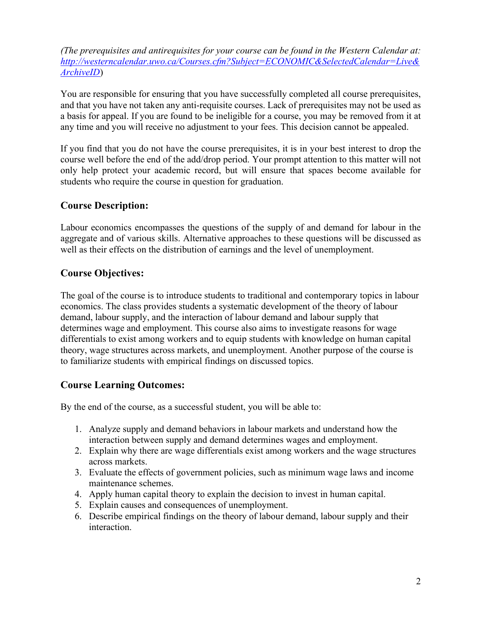*(The prerequisites and antirequisites for your course can be found in the Western Calendar at: [http://westerncalendar.uwo.ca/Courses.cfm?Subject=ECONOMIC&SelectedCalendar=Live&](http://westerncalendar.uwo.ca/Courses.cfm?Subject=ECONOMIC&SelectedCalendar=Live&ArchiveID)  [ArchiveID](http://westerncalendar.uwo.ca/Courses.cfm?Subject=ECONOMIC&SelectedCalendar=Live&ArchiveID)*)

You are responsible for ensuring that you have successfully completed all course prerequisites, and that you have not taken any anti-requisite courses. Lack of prerequisites may not be used as a basis for appeal. If you are found to be ineligible for a course, you may be removed from it at any time and you will receive no adjustment to your fees. This decision cannot be appealed.

If you find that you do not have the course prerequisites, it is in your best interest to drop the course well before the end of the add/drop period. Your prompt attention to this matter will not only help protect your academic record, but will ensure that spaces become available for students who require the course in question for graduation.

# **Course Description:**

Labour economics encompasses the questions of the supply of and demand for labour in the aggregate and of various skills. Alternative approaches to these questions will be discussed as well as their effects on the distribution of earnings and the level of unemployment.

# **Course Objectives:**

 The goal of the course is to introduce students to traditional and contemporary topics in labour economics. The class provides students a systematic development of the theory of labour demand, labour supply, and the interaction of labour demand and labour supply that determines wage and employment. This course also aims to investigate reasons for wage differentials to exist among workers and to equip students with knowledge on human capital theory, wage structures across markets, and unemployment. Another purpose of the course is to familiarize students with empirical findings on discussed topics.

# **Course Learning Outcomes:**

By the end of the course, as a successful student, you will be able to:

- 1. Analyze supply and demand behaviors in labour markets and understand how the interaction between supply and demand determines wages and employment.
- 2. Explain why there are wage differentials exist among workers and the wage structures across markets.
- 3. Evaluate the effects of government policies, such as minimum wage laws and income maintenance schemes.
- 4. Apply human capital theory to explain the decision to invest in human capital.
- 5. Explain causes and consequences of unemployment.
- 6. Describe empirical findings on the theory of labour demand, labour supply and their interaction.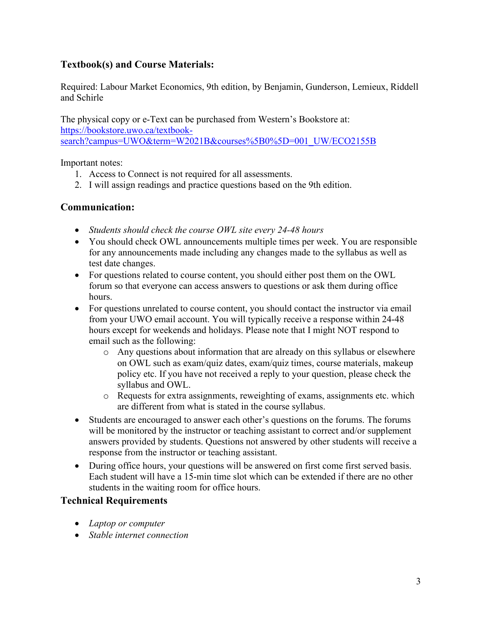# **Textbook(s) and Course Materials:**

Required: Labour Market Economics, 9th edition, by Benjamin, Gunderson, Lemieux, Riddell and Schirle

 The physical copy or e-Text can be purchased from Western's Bookstore at: [https://bookstore.uwo.ca/textbook](https://bookstore.uwo.ca/textbook-search?campus=UWO&term=W2021B&courses%5B0%5D=001_UW/ECO2155B)[search?campus=UWO&term=W2021B&courses%5B0%5D=001\\_UW/ECO2155B](https://bookstore.uwo.ca/textbook-search?campus=UWO&term=W2021B&courses%5B0%5D=001_UW/ECO2155B) 

Important notes:

- 1. Access to Connect is not required for all assessments.
- 2. I will assign readings and practice questions based on the 9th edition.

### **Communication:**

- *Students should check the course OWL site every 24-48 hours*
- • You should check OWL announcements multiple times per week. You are responsible for any announcements made including any changes made to the syllabus as well as test date changes.
- For questions related to course content, you should either post them on the OWL forum so that everyone can access answers to questions or ask them during office hours.
- • For questions unrelated to course content, you should contact the instructor via email from your UWO email account. You will typically receive a response within 24-48 hours except for weekends and holidays. Please note that I might NOT respond to email such as the following:
	- o Any questions about information that are already on this syllabus or elsewhere on OWL such as exam/quiz dates, exam/quiz times, course materials, makeup policy etc. If you have not received a reply to your question, please check the syllabus and OWL.
	- o Requests for extra assignments, reweighting of exams, assignments etc. which are different from what is stated in the course syllabus.
- answers provided by students. Questions not answered by other students will receive a • Students are encouraged to answer each other's questions on the forums. The forums will be monitored by the instructor or teaching assistant to correct and/or supplement response from the instructor or teaching assistant.
- Each student will have a 15-min time slot which can be extended if there are no other • During office hours, your questions will be answered on first come first served basis. students in the waiting room for office hours.

#### **Technical Requirements**

- *Laptop or computer*
- *Stable internet connection*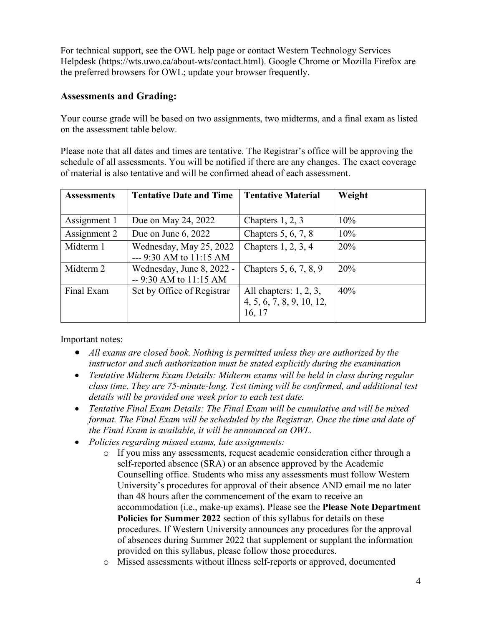For technical support, see the OWL help page or contact Western Technology Services Helpdesk [\(https://wts.uwo.ca/about-wts/contact.html\)](https://wts.uwo.ca/about-wts/contact.html). Google Chrome or Mozilla Firefox are the preferred browsers for OWL; update your browser frequently.

## **Assessments and Grading:**

Your course grade will be based on two assignments, two midterms, and a final exam as listed on the assessment table below.

 schedule of all assessments. You will be notified if there are any changes. The exact coverage Please note that all dates and times are tentative. The Registrar's office will be approving the of material is also tentative and will be confirmed ahead of each assessment.

| <b>Assessments</b> | <b>Tentative Date and Time</b>                       | <b>Tentative Material</b>                                        | Weight |
|--------------------|------------------------------------------------------|------------------------------------------------------------------|--------|
|                    |                                                      |                                                                  |        |
| Assignment 1       | Due on May 24, 2022                                  | Chapters $1, 2, 3$                                               | $10\%$ |
| Assignment 2       | Due on June $6, 2022$                                | Chapters $5, 6, 7, 8$                                            | 10%    |
| Midterm 1          | Wednesday, May 25, 2022<br>$-$ --9:30 AM to 11:15 AM | Chapters $1, 2, 3, 4$                                            | 20%    |
| Midterm 2          | Wednesday, June 8, 2022 -<br>$-9:30$ AM to 11:15 AM  | Chapters 5, 6, 7, 8, 9                                           | 20%    |
| Final Exam         | Set by Office of Registrar                           | All chapters: $1, 2, 3$ ,<br>4, 5, 6, 7, 8, 9, 10, 12,<br>16, 17 | 40%    |

Important notes:

- *All exams are closed book. Nothing is permitted unless they are authorized by the instructor and such authorization must be stated explicitly during the examination*
- *Tentative Midterm Exam Details: Midterm exams will be held in class during regular class time. They are 75-minute-long. Test timing will be confirmed, and additional test details will be provided one week prior to each test date.*
- *format. The Final Exam will be scheduled by the Registrar. Once the time and date of*  • *Tentative Final Exam Details: The Final Exam will be cumulative and will be mixed the Final Exam is available, it will be announced on OWL.*
- *Policies regarding missed exams, late assignments:* 
	- o If you miss any assessments, request academic consideration either through a self-reported absence (SRA) or an absence approved by the Academic Counselling office. Students who miss any assessments must follow Western University's procedures for approval of their absence AND email me no later than 48 hours after the commencement of the exam to receive an accommodation (i.e., make-up exams). Please see the **Please Note Department Policies for Summer 2022** section of this syllabus for details on these procedures. If Western University announces any procedures for the approval of absences during Summer 2022 that supplement or supplant the information provided on this syllabus, please follow those procedures.
	- o Missed assessments without illness self-reports or approved, documented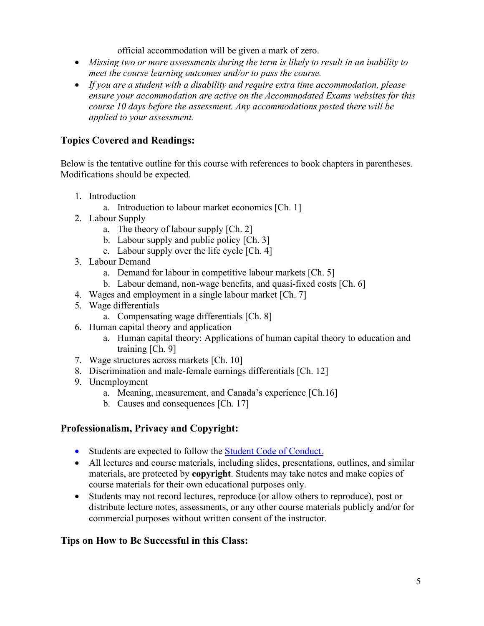official accommodation will be given a mark of zero.

- *Missing two or more assessments during the term is likely to result in an inability to meet the course learning outcomes and/or to pass the course.*
- *If you are a student with a disability and require extra time accommodation, please ensure your accommodation are active on the Accommodated Exams websites for this course 10 days before the assessment. Any accommodations posted there will be applied to your assessment.*

# **Topics Covered and Readings:**

Below is the tentative outline for this course with references to book chapters in parentheses. Modifications should be expected.

- 1. Introduction
- a. Introduction to labour market economics [Ch. 1] 2. Labour Supply
- - a. The theory of labour supply [Ch. 2]
	- b. Labour supply and public policy  $[Ch. 3]$
- a. The theory of labour supply [Ch. 2] b. Labour supply and public policy [Ch. 3] c. Labour supply over the life cycle [Ch. 4] 3. Labour Demand
- - a. Demand for labour in competitive labour markets [Ch. 5]
- a. Demand for labour in competitive labour markets [Ch. 5]<br>b. Labour demand, non-wage benefits, and quasi-fixed costs [Ch. 6]<br>4. Wages and employment in a single labour market [Ch. 7]
- 
- 5. Wage differentials
	- a. Compensating wage differentials [Ch. 8]
- 6. Human capital theory and application
	- training  $[Ch. 9]$ a. Human capital theory: Applications of human capital theory to education and
- 7. Wage structures across markets  $[Ch. 10]$
- 8. Discrimination and male-female earnings differentials [Ch. 12]
- 9. Unemployment
- 8. Discrimination and male-female earnings differentials [Ch. 12] 9. Unemployment a. Meaning, measurement, and Canada's experience [Ch.16] b. Causes and consequences [Ch. 17]
	-

# **Professionalism, Privacy and Copyright:**

- Students are expected to follow the **Student Code of Conduct.**
- course materials for their own educational purposes only. • All lectures and course materials, including slides, presentations, outlines, and similar materials, are protected by **copyright**. Students may take notes and make copies of
- Students may not record lectures, reproduce (or allow others to reproduce), post or distribute lecture notes, assessments, or any other course materials publicly and/or for commercial purposes without written consent of the instructor.

# **Tips on How to Be Successful in this Class:**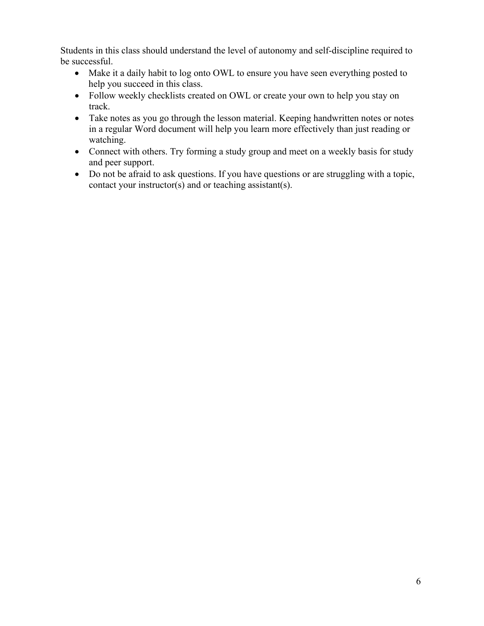Students in this class should understand the level of autonomy and self-discipline required to be successful.

- Make it a daily habit to log onto OWL to ensure you have seen everything posted to help you succeed in this class.
- Follow weekly checklists created on OWL or create your own to help you stay on track.
- Take notes as you go through the lesson material. Keeping handwritten notes or notes in a regular Word document will help you learn more effectively than just reading or watching.
- Connect with others. Try forming a study group and meet on a weekly basis for study and peer support.
- Do not be afraid to ask questions. If you have questions or are struggling with a topic, contact your instructor(s) and or teaching assistant(s).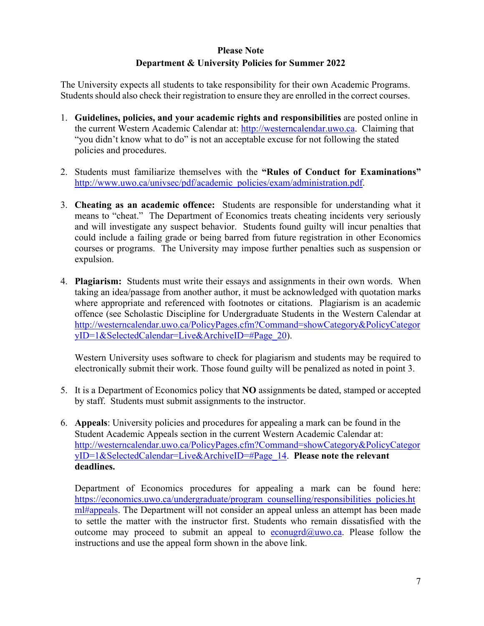#### **Please Note**

#### **Department & University Policies for Summer 2022**

The University expects all students to take responsibility for their own Academic Programs. Students should also check their registration to ensure they are enrolled in the correct courses.

- the current Western Academic Calendar at: [http://westerncalendar.uwo.ca.](http://westerncalendar.uwo.ca/) Claiming that 1. **Guidelines, policies, and your academic rights and responsibilities** are posted online in "you didn't know what to do" is not an acceptable excuse for not following the stated policies and procedures.
- 2. Students must familiarize themselves with the **"Rules of Conduct for Examinations"**  [http://www.uwo.ca/univsec/pdf/academic\\_policies/exam/administration.pdf.](http://www.uwo.ca/univsec/pdf/academic_policies/exam/administration.pdf)
- 3. **Cheating as an academic offence:** Students are responsible for understanding what it means to "cheat." The Department of Economics treats cheating incidents very seriously and will investigate any suspect behavior. Students found guilty will incur penalties that could include a failing grade or being barred from future registration in other Economics courses or programs. The University may impose further penalties such as suspension or expulsion.
- 4. **Plagiarism:** Students must write their essays and assignments in their own words. When taking an idea/passage from another author, it must be acknowledged with quotation marks where appropriate and referenced with footnotes or citations. Plagiarism is an academic offence (see Scholastic Discipline for Undergraduate Students in the Western Calendar at [http://westerncalendar.uwo.ca/PolicyPages.cfm?Command=showCategory&PolicyCategor](http://westerncalendar.uwo.ca/PolicyPages.cfm?Command=showCategory&PolicyCategoryID=1&SelectedCalendar=Live&ArchiveID=#Page_20)  [yID=1&SelectedCalendar=Live&ArchiveID=#Page\\_20\)](http://westerncalendar.uwo.ca/PolicyPages.cfm?Command=showCategory&PolicyCategoryID=1&SelectedCalendar=Live&ArchiveID=#Page_20).

Western University uses software to check for plagiarism and students may be required to electronically submit their work. Those found guilty will be penalized as noted in point 3.

- by staff. Students must submit assignments to the instructor. 5. It is a Department of Economics policy that **NO** assignments be dated, stamped or accepted
- 6. **Appeals**: University policies and procedures for appealing a mark can be found in the Student Academic Appeals section in the current Western Academic Calendar at: [http://westerncalendar.uwo.ca/PolicyPages.cfm?Command=showCategory&PolicyCategor](http://westerncalendar.uwo.ca/PolicyPages.cfm?Command=showCategory&PolicyCategoryID=1&SelectedCalendar=Live&ArchiveID=#Page_14)  [yID=1&SelectedCalendar=Live&ArchiveID=#Page\\_14.](http://westerncalendar.uwo.ca/PolicyPages.cfm?Command=showCategory&PolicyCategoryID=1&SelectedCalendar=Live&ArchiveID=#Page_14) **Please note the relevant deadlines.**

 instructions and use the appeal form shown in the above link. Department of Economics procedures for appealing a mark can be found here: [https://economics.uwo.ca/undergraduate/program\\_counselling/responsibilities\\_policies.ht](https://economics.uwo.ca/undergraduate/program_counselling/responsibilities_policies.html#appeals)  [ml#appeals.](https://economics.uwo.ca/undergraduate/program_counselling/responsibilities_policies.html#appeals) The Department will not consider an appeal unless an attempt has been made to settle the matter with the instructor first. Students who remain dissatisfied with the outcome may proceed to submit an appeal to [econugrd@uwo.ca.](mailto:econugrd@uwo.ca) Please follow the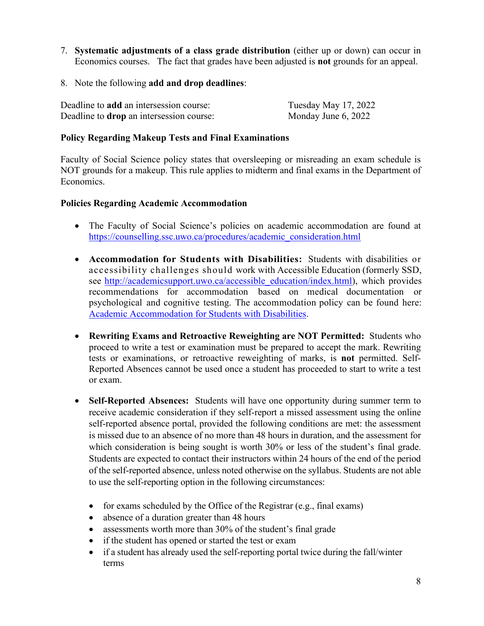- 7. **Systematic adjustments of a class grade distribution** (either up or down) can occur in Economics courses. The fact that grades have been adjusted is **not** grounds for an appeal.
- 8. Note the following **add and drop deadlines**:

| Deadline to <b>add</b> an intersession course:  | Tuesday May 17, 2022 |
|-------------------------------------------------|----------------------|
| Deadline to <b>drop</b> an intersession course: | Monday June 6, 2022  |

#### **Policy Regarding Makeup Tests and Final Examinations**

Faculty of Social Science policy states that oversleeping or misreading an exam schedule is NOT grounds for a makeup. This rule applies to midterm and final exams in the Department of Economics.

#### **Policies Regarding Academic Accommodation**

- The Faculty of Social Science's policies on academic accommodation are found at [https://counselling.ssc.uwo.ca/procedures/academic\\_consideration.html](https://counselling.ssc.uwo.ca/procedures/academic_consideration.html)
- • **Accommodation for Students with Disabilities:** Students with disabilities or see [http://academicsupport.uwo.ca/accessible\\_education/index.html](http://academicsupport.uwo.ca/accessible_education/index.html)), which provides recommendations for accommodation based on medical documentation or psychological and cognitive testing. The accommodation policy can be found here: accessibility challenges should work with Accessible Education (formerly SSD, Academic Accommodation for Students with Disabilities.
- • **Rewriting Exams and Retroactive Reweighting are NOT Permitted:** Students who proceed to write a test or examination must be prepared to accept the mark. Rewriting tests or examinations, or retroactive reweighting of marks, is **not** permitted. Self-Reported Absences cannot be used once a student has proceeded to start to write a test or exam.
- **Self-Reported Absences:** Students will have one opportunity during summer term to receive academic consideration if they self-report a missed assessment using the online is missed due to an absence of no more than 48 hours in duration, and the assessment for which consideration is being sought is worth 30% or less of the student's final grade. Students are expected to contact their instructors within 24 hours of the end of the period self-reported absence portal, provided the following conditions are met: the assessment of the self-reported absence, unless noted otherwise on the syllabus. Students are not able to use the self-reporting option in the following circumstances:
	- for exams scheduled by the Office of the Registrar (e.g., final exams)
	- absence of a duration greater than 48 hours
	- assessments worth more than 30% of the student's final grade
	- if the student has opened or started the test or exam
	- • if a student has already used the self-reporting portal twice during the fall/winter terms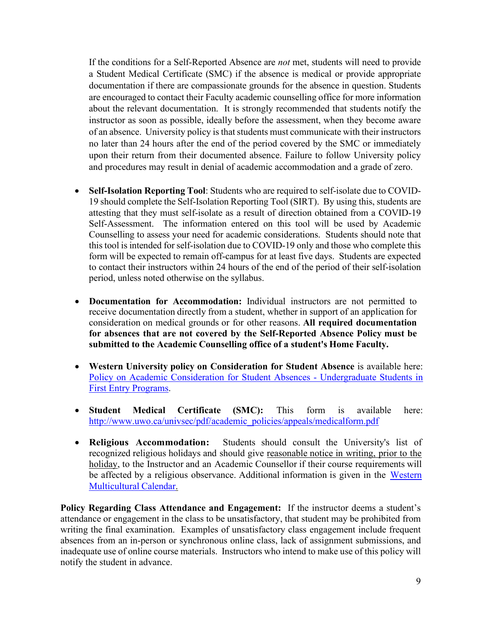If the conditions for a Self-Reported Absence are *not* met, students will need to provide documentation if there are compassionate grounds for the absence in question. Students about the relevant documentation. It is strongly recommended that students notify the instructor as soon as possible, ideally before the assessment, when they become aware a Student Medical Certificate (SMC) if the absence is medical or provide appropriate are encouraged to contact their Faculty academic counselling office for more information of an absence. University policy is that students must communicate with their instructors no later than 24 hours after the end of the period covered by the SMC or immediately upon their return from their documented absence. Failure to follow University policy and procedures may result in denial of academic accommodation and a grade of zero.

- 19 should complete the Self-Isolation Reporting Tool (SIRT). By using this, students are attesting that they must self-isolate as a result of direction obtained from a COVID-19 Counselling to assess your need for academic considerations. Students should note that this tool is intended for self-isolation due to COVID-19 only and those who complete this form will be expected to remain off-campus for at least five days. Students are expected to contact their instructors within 24 hours of the end of the period of their self-isolation period, unless noted otherwise on the syllabus. • **Self-Isolation Reporting Tool**: Students who are required to self-isolate due to COVID-Self-Assessment. The information entered on this tool will be used by Academic
- • **Documentation for Accommodation:** Individual instructors are not permitted to receive documentation directly from a student, whether in support of an application for consideration on medical grounds or for other reasons. **All required documentation for absences that are not covered by the Self-Reported Absence Policy must be submitted to the Academic Counselling office of a student's Home Faculty.**
- **Western University policy on Consideration for Student Absence** is available here: Policy on Academic Consideration for Student Absences - Undergraduate Students in First Entry Programs.
- **Student Medical Certificate (SMC):** This form is available here: [http://www.uwo.ca/univsec/pdf/academic\\_policies/appeals/medicalform.pdf](http://www.uwo.ca/univsec/pdf/academic_policies/appeals/medicalform.pdf)
- • **Religious Accommodation:** Students should consult the University's list of recognized religious holidays and should give reasonable notice in writing, prior to the holiday, to the Instructor and an Academic Counsellor if their course requirements will be affected by a religious observance. Additional information is given in the Western Multicultural Calendar.

 **Policy Regarding Class Attendance and Engagement:** If the instructor deems a student's attendance or engagement in the class to be unsatisfactory, that student may be prohibited from writing the final examination. Examples of unsatisfactory class engagement include frequent absences from an in-person or synchronous online class, lack of assignment submissions, and inadequate use of online course materials. Instructors who intend to make use of this policy will notify the student in advance.